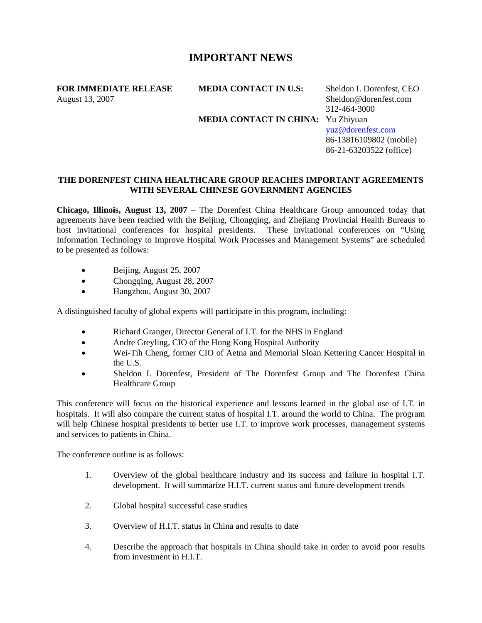## **IMPORTANT NEWS**

**FOR IMMEDIATE RELEASE MEDIA CONTACT IN U.S:** Sheldon I. Dorenfest, CEO August 13, 2007 Sheldon@dorenfest.com

 312-464-3000 **MEDIA CONTACT IN CHINA:** Yu Zhiyuan [yuz@dorenfest.com](mailto:yuz@dorenfest.com) 86-13816109802 (mobile) 86-21-63203522 (office)

## **THE DORENFEST CHINA HEALTHCARE GROUP REACHES IMPORTANT AGREEMENTS WITH SEVERAL CHINESE GOVERNMENT AGENCIES**

**Chicago, Illinois, August 13, 2007** – The Dorenfest China Healthcare Group announced today that agreements have been reached with the Beijing, Chongqing, and Zhejiang Provincial Health Bureaus to host invitational conferences for hospital presidents. These invitational conferences on "Using Information Technology to Improve Hospital Work Processes and Management Systems" are scheduled to be presented as follows:

- Beijing, August 25, 2007
- Chongqing, August 28, 2007
- Hangzhou, August 30, 2007

A distinguished faculty of global experts will participate in this program, including:

- Richard Granger, Director General of I.T. for the NHS in England
- Andre Greyling, CIO of the Hong Kong Hospital Authority
- Wei-Tih Cheng, former CIO of Aetna and Memorial Sloan Kettering Cancer Hospital in the U.S.
- Sheldon I. Dorenfest, President of The Dorenfest Group and The Dorenfest China Healthcare Group

This conference will focus on the historical experience and lessons learned in the global use of I.T. in hospitals. It will also compare the current status of hospital I.T. around the world to China. The program will help Chinese hospital presidents to better use I.T. to improve work processes, management systems and services to patients in China.

The conference outline is as follows:

- 1. Overview of the global healthcare industry and its success and failure in hospital I.T. development. It will summarize H.I.T. current status and future development trends
- 2. Global hospital successful case studies
- 3. Overview of H.I.T. status in China and results to date
- 4. Describe the approach that hospitals in China should take in order to avoid poor results from investment in H.I.T.